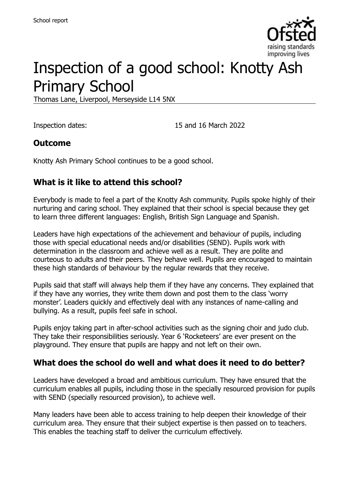

# Inspection of a good school: Knotty Ash Primary School

Thomas Lane, Liverpool, Merseyside L14 5NX

Inspection dates: 15 and 16 March 2022

#### **Outcome**

Knotty Ash Primary School continues to be a good school.

#### **What is it like to attend this school?**

Everybody is made to feel a part of the Knotty Ash community. Pupils spoke highly of their nurturing and caring school. They explained that their school is special because they get to learn three different languages: English, British Sign Language and Spanish.

Leaders have high expectations of the achievement and behaviour of pupils, including those with special educational needs and/or disabilities (SEND). Pupils work with determination in the classroom and achieve well as a result. They are polite and courteous to adults and their peers. They behave well. Pupils are encouraged to maintain these high standards of behaviour by the regular rewards that they receive.

Pupils said that staff will always help them if they have any concerns. They explained that if they have any worries, they write them down and post them to the class 'worry monster'. Leaders quickly and effectively deal with any instances of name-calling and bullying. As a result, pupils feel safe in school.

Pupils enjoy taking part in after-school activities such as the signing choir and judo club. They take their responsibilities seriously. Year 6 'Rocketeers' are ever present on the playground. They ensure that pupils are happy and not left on their own.

#### **What does the school do well and what does it need to do better?**

Leaders have developed a broad and ambitious curriculum. They have ensured that the curriculum enables all pupils, including those in the specially resourced provision for pupils with SEND (specially resourced provision), to achieve well.

Many leaders have been able to access training to help deepen their knowledge of their curriculum area. They ensure that their subject expertise is then passed on to teachers. This enables the teaching staff to deliver the curriculum effectively.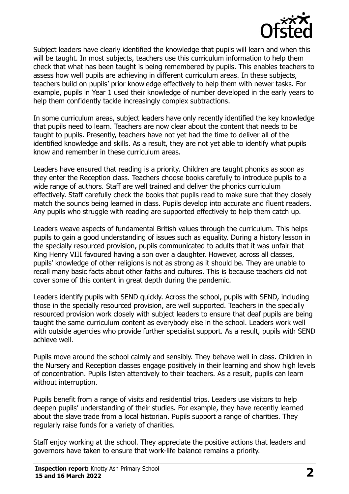

Subject leaders have clearly identified the knowledge that pupils will learn and when this will be taught. In most subjects, teachers use this curriculum information to help them check that what has been taught is being remembered by pupils. This enables teachers to assess how well pupils are achieving in different curriculum areas. In these subjects, teachers build on pupils' prior knowledge effectively to help them with newer tasks. For example, pupils in Year 1 used their knowledge of number developed in the early years to help them confidently tackle increasingly complex subtractions.

In some curriculum areas, subject leaders have only recently identified the key knowledge that pupils need to learn. Teachers are now clear about the content that needs to be taught to pupils. Presently, teachers have not yet had the time to deliver all of the identified knowledge and skills. As a result, they are not yet able to identify what pupils know and remember in these curriculum areas.

Leaders have ensured that reading is a priority. Children are taught phonics as soon as they enter the Reception class. Teachers choose books carefully to introduce pupils to a wide range of authors. Staff are well trained and deliver the phonics curriculum effectively. Staff carefully check the books that pupils read to make sure that they closely match the sounds being learned in class. Pupils develop into accurate and fluent readers. Any pupils who struggle with reading are supported effectively to help them catch up.

Leaders weave aspects of fundamental British values through the curriculum. This helps pupils to gain a good understanding of issues such as equality. During a history lesson in the specially resourced provision, pupils communicated to adults that it was unfair that King Henry VIII favoured having a son over a daughter. However, across all classes, pupils' knowledge of other religions is not as strong as it should be. They are unable to recall many basic facts about other faiths and cultures. This is because teachers did not cover some of this content in great depth during the pandemic.

Leaders identify pupils with SEND quickly. Across the school, pupils with SEND, including those in the specially resourced provision, are well supported. Teachers in the specially resourced provision work closely with subject leaders to ensure that deaf pupils are being taught the same curriculum content as everybody else in the school. Leaders work well with outside agencies who provide further specialist support. As a result, pupils with SEND achieve well.

Pupils move around the school calmly and sensibly. They behave well in class. Children in the Nursery and Reception classes engage positively in their learning and show high levels of concentration. Pupils listen attentively to their teachers. As a result, pupils can learn without interruption.

Pupils benefit from a range of visits and residential trips. Leaders use visitors to help deepen pupils' understanding of their studies. For example, they have recently learned about the slave trade from a local historian. Pupils support a range of charities. They regularly raise funds for a variety of charities.

Staff enjoy working at the school. They appreciate the positive actions that leaders and governors have taken to ensure that work-life balance remains a priority.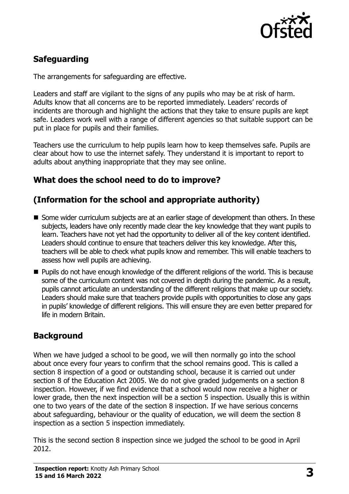

## **Safeguarding**

The arrangements for safeguarding are effective.

Leaders and staff are vigilant to the signs of any pupils who may be at risk of harm. Adults know that all concerns are to be reported immediately. Leaders' records of incidents are thorough and highlight the actions that they take to ensure pupils are kept safe. Leaders work well with a range of different agencies so that suitable support can be put in place for pupils and their families.

Teachers use the curriculum to help pupils learn how to keep themselves safe. Pupils are clear about how to use the internet safely. They understand it is important to report to adults about anything inappropriate that they may see online.

#### **What does the school need to do to improve?**

### **(Information for the school and appropriate authority)**

- Some wider curriculum subiects are at an earlier stage of development than others. In these subjects, leaders have only recently made clear the key knowledge that they want pupils to learn. Teachers have not yet had the opportunity to deliver all of the key content identified. Leaders should continue to ensure that teachers deliver this key knowledge. After this, teachers will be able to check what pupils know and remember. This will enable teachers to assess how well pupils are achieving.
- **Pupils do not have enough knowledge of the different religions of the world. This is because** some of the curriculum content was not covered in depth during the pandemic. As a result, pupils cannot articulate an understanding of the different religions that make up our society. Leaders should make sure that teachers provide pupils with opportunities to close any gaps in pupils' knowledge of different religions. This will ensure they are even better prepared for life in modern Britain.

#### **Background**

When we have judged a school to be good, we will then normally go into the school about once every four years to confirm that the school remains good. This is called a section 8 inspection of a good or outstanding school, because it is carried out under section 8 of the Education Act 2005. We do not give graded judgements on a section 8 inspection. However, if we find evidence that a school would now receive a higher or lower grade, then the next inspection will be a section 5 inspection. Usually this is within one to two years of the date of the section 8 inspection. If we have serious concerns about safeguarding, behaviour or the quality of education, we will deem the section 8 inspection as a section 5 inspection immediately.

This is the second section 8 inspection since we judged the school to be good in April 2012.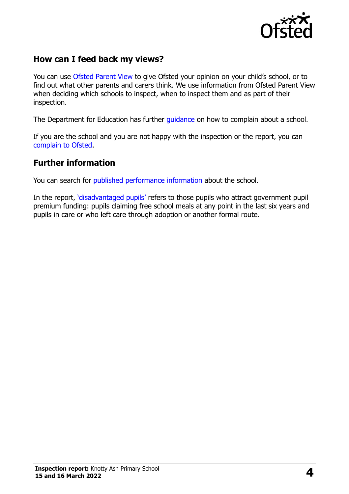

#### **How can I feed back my views?**

You can use [Ofsted Parent View](https://parentview.ofsted.gov.uk/) to give Ofsted your opinion on your child's school, or to find out what other parents and carers think. We use information from Ofsted Parent View when deciding which schools to inspect, when to inspect them and as part of their inspection.

The Department for Education has further quidance on how to complain about a school.

If you are the school and you are not happy with the inspection or the report, you can [complain to Ofsted.](https://www.gov.uk/complain-ofsted-report)

#### **Further information**

You can search for [published performance information](http://www.compare-school-performance.service.gov.uk/) about the school.

In the report, '[disadvantaged pupils](http://www.gov.uk/guidance/pupil-premium-information-for-schools-and-alternative-provision-settings)' refers to those pupils who attract government pupil premium funding: pupils claiming free school meals at any point in the last six years and pupils in care or who left care through adoption or another formal route.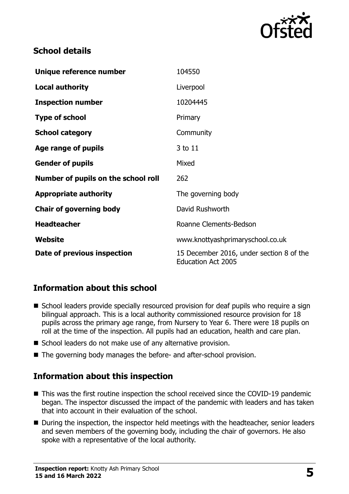

#### **School details**

| Unique reference number             | 104550                                                                |
|-------------------------------------|-----------------------------------------------------------------------|
| <b>Local authority</b>              | Liverpool                                                             |
| <b>Inspection number</b>            | 10204445                                                              |
| <b>Type of school</b>               | Primary                                                               |
| <b>School category</b>              | Community                                                             |
| Age range of pupils                 | 3 to 11                                                               |
| <b>Gender of pupils</b>             | Mixed                                                                 |
| Number of pupils on the school roll | 262                                                                   |
| <b>Appropriate authority</b>        | The governing body                                                    |
| <b>Chair of governing body</b>      | David Rushworth                                                       |
| <b>Headteacher</b>                  | Roanne Clements-Bedson                                                |
| Website                             | www.knottyashprimaryschool.co.uk                                      |
| Date of previous inspection         | 15 December 2016, under section 8 of the<br><b>Education Act 2005</b> |

#### **Information about this school**

- School leaders provide specially resourced provision for deaf pupils who require a sign bilingual approach. This is a local authority commissioned resource provision for 18 pupils across the primary age range, from Nursery to Year 6. There were 18 pupils on roll at the time of the inspection. All pupils had an education, health and care plan.
- School leaders do not make use of any alternative provision.
- The governing body manages the before- and after-school provision.

#### **Information about this inspection**

- This was the first routine inspection the school received since the COVID-19 pandemic began. The inspector discussed the impact of the pandemic with leaders and has taken that into account in their evaluation of the school.
- During the inspection, the inspector held meetings with the headteacher, senior leaders and seven members of the governing body, including the chair of governors. He also spoke with a representative of the local authority.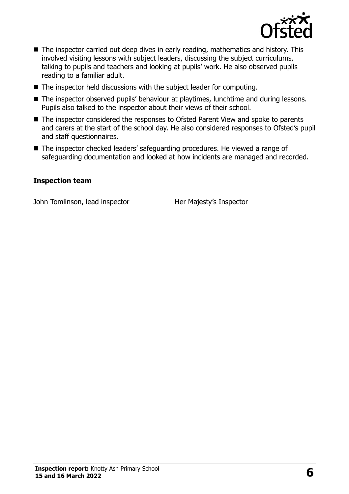

- The inspector carried out deep dives in early reading, mathematics and history. This involved visiting lessons with subject leaders, discussing the subject curriculums, talking to pupils and teachers and looking at pupils' work. He also observed pupils reading to a familiar adult.
- The inspector held discussions with the subject leader for computing.
- The inspector observed pupils' behaviour at playtimes, lunchtime and during lessons. Pupils also talked to the inspector about their views of their school.
- The inspector considered the responses to Ofsted Parent View and spoke to parents and carers at the start of the school day. He also considered responses to Ofsted's pupil and staff questionnaires.
- The inspector checked leaders' safeguarding procedures. He viewed a range of safeguarding documentation and looked at how incidents are managed and recorded.

#### **Inspection team**

John Tomlinson, lead inspector Her Majesty's Inspector